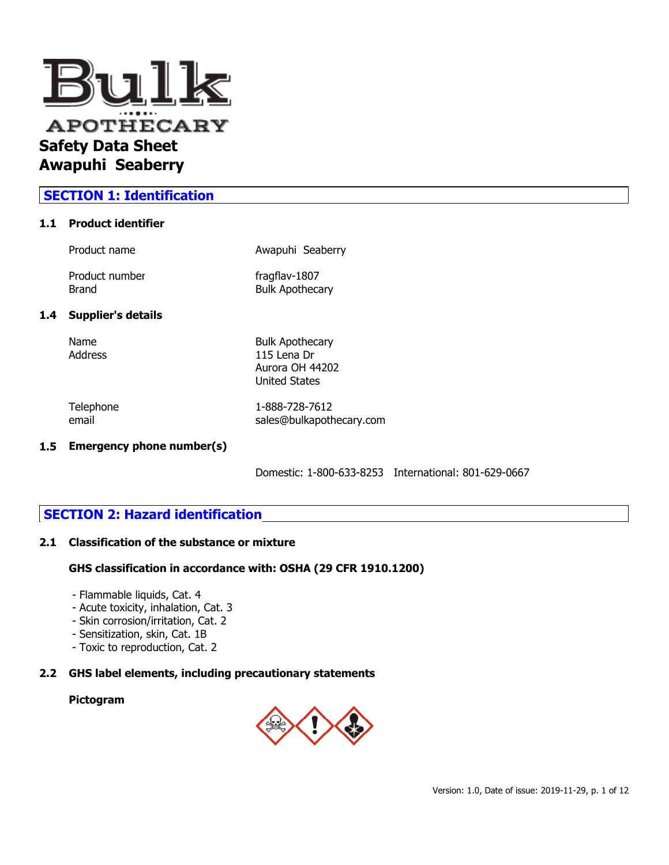

## **SECTION 1: Identification**

#### **1.1 Product identifier**

| <b>Supplier's details</b> |                                         |  |  |
|---------------------------|-----------------------------------------|--|--|
| Product number<br>Brand   | fragflav-1807<br><b>Bulk Apothecary</b> |  |  |
| Product name              | Awapuhi Seaberry                        |  |  |

## $1.4$

Name Bulk Apothecary Address 115 Lena Dr Aurora OH 44202 United States

Telephone 1-888-728-7612 email sales@bulkapothecary.com

#### **1.5 Emergency phone number(s)**

Domestic: 1-800-633-8253 International: 801-629-0667

## **SECTION 2: Hazard identification**

#### **2.1 Classification of the substance or mixture**

#### **GHS classification in accordance with: OSHA (29 CFR 1910.1200)**

- Flammable liquids, Cat. 4
- Acute toxicity, inhalation, Cat. 3
- Skin corrosion/irritation, Cat. 2
- Sensitization, skin, Cat. 1B
- Toxic to reproduction, Cat. 2

## **2.2 GHS label elements, including precautionary statements**

### **Pictogram**

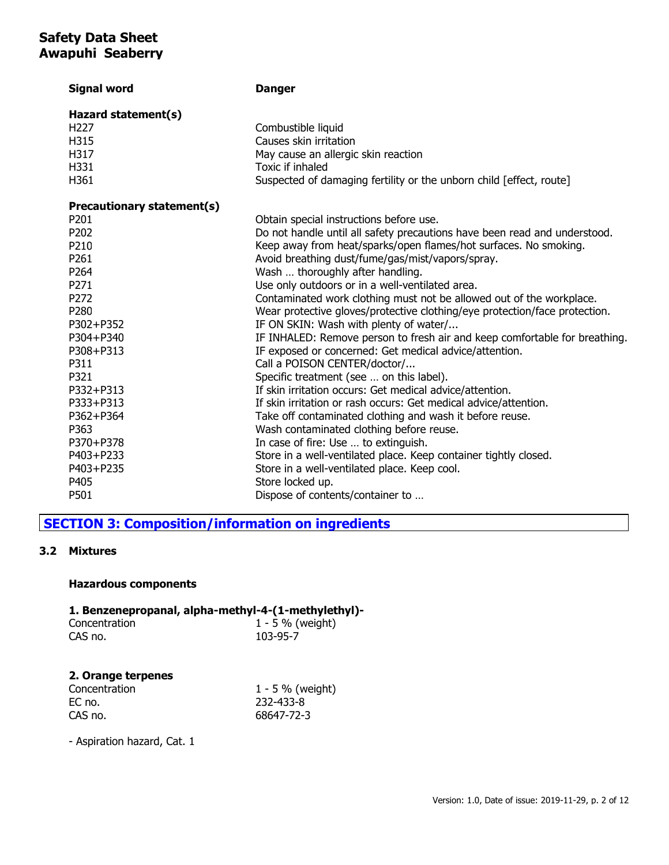| <b>Signal word</b>                | <b>Danger</b>                                                              |
|-----------------------------------|----------------------------------------------------------------------------|
| Hazard statement(s)               |                                                                            |
| H <sub>227</sub>                  | Combustible liquid                                                         |
| H315                              | Causes skin irritation                                                     |
| H317                              | May cause an allergic skin reaction                                        |
| H331                              | Toxic if inhaled                                                           |
| H361                              | Suspected of damaging fertility or the unborn child [effect, route]        |
| <b>Precautionary statement(s)</b> |                                                                            |
| P201                              | Obtain special instructions before use.                                    |
| P <sub>202</sub>                  | Do not handle until all safety precautions have been read and understood.  |
| P210                              | Keep away from heat/sparks/open flames/hot surfaces. No smoking.           |
| P261                              | Avoid breathing dust/fume/gas/mist/vapors/spray.                           |
| P264                              | Wash  thoroughly after handling.                                           |
| P271                              | Use only outdoors or in a well-ventilated area.                            |
| P272                              | Contaminated work clothing must not be allowed out of the workplace.       |
| P280                              | Wear protective gloves/protective clothing/eye protection/face protection. |
| P302+P352                         | IF ON SKIN: Wash with plenty of water/                                     |
| P304+P340                         | IF INHALED: Remove person to fresh air and keep comfortable for breathing. |
| P308+P313                         | IF exposed or concerned: Get medical advice/attention.                     |
| P311                              | Call a POISON CENTER/doctor/                                               |
| P321                              | Specific treatment (see  on this label).                                   |
| P332+P313                         | If skin irritation occurs: Get medical advice/attention.                   |
| P333+P313                         | If skin irritation or rash occurs: Get medical advice/attention.           |
| P362+P364                         | Take off contaminated clothing and wash it before reuse.                   |
| P363                              | Wash contaminated clothing before reuse.                                   |
| P370+P378                         | In case of fire: Use  to extinguish.                                       |
| P403+P233                         | Store in a well-ventilated place. Keep container tightly closed.           |
| P403+P235                         | Store in a well-ventilated place. Keep cool.                               |
| P405                              | Store locked up.                                                           |
| P501                              | Dispose of contents/container to                                           |

## **SECTION 3: Composition/information on ingredients**

#### **3.2 Mixtures**

#### **Hazardous components**

## **1. Benzenepropanal, alpha-methyl-4-(1-methylethyl)-**

| Concentration | $1 - 5 \%$ (weight) |
|---------------|---------------------|
| CAS no.       | 103-95-7            |

#### **2. Orange terpenes**

| Concentration | $1 - 5 \%$ (weight) |
|---------------|---------------------|
| EC no.        | 232-433-8           |
| CAS no.       | 68647-72-3          |

- Aspiration hazard, Cat. 1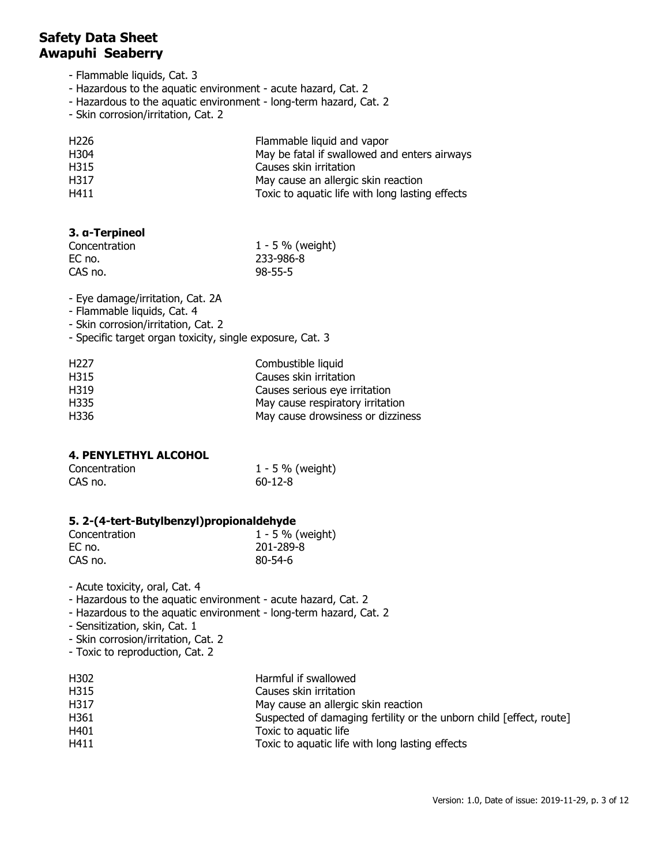- Flammable liquids, Cat. 3
- Hazardous to the aquatic environment acute hazard, Cat. 2
- Hazardous to the aquatic environment long-term hazard, Cat. 2
- Skin corrosion/irritation, Cat. 2

| H <sub>226</sub> | Flammable liquid and vapor                      |
|------------------|-------------------------------------------------|
| H304             | May be fatal if swallowed and enters airways    |
| H315             | Causes skin irritation                          |
| H317             | May cause an allergic skin reaction             |
| H411             | Toxic to aquatic life with long lasting effects |

#### **3. α-Terpineol**

| Concentration | 1 - 5 % (weight) |
|---------------|------------------|
| EC no.        | 233-986-8        |
| CAS no.       | $98 - 55 - 5$    |

- Eye damage/irritation, Cat. 2A

- Flammable liquids, Cat. 4
- Skin corrosion/irritation, Cat. 2
- Specific target organ toxicity, single exposure, Cat. 3

| H <sub>227</sub> | Combustible liquid                |
|------------------|-----------------------------------|
| H315             | Causes skin irritation            |
| H319             | Causes serious eye irritation     |
| H335             | May cause respiratory irritation  |
| H336             | May cause drowsiness or dizziness |

#### **4. PENYLETHYL ALCOHOL**

| Concentration | 1 - 5 % (weight) |
|---------------|------------------|
| CAS no.       | $60 - 12 - 8$    |

#### **5. 2-(4-tert-Butylbenzyl)propionaldehyde**

| Concentration | 1 - 5 % (weight) |
|---------------|------------------|
| EC no.        | 201-289-8        |
| CAS no.       | $80 - 54 - 6$    |

- Acute toxicity, oral, Cat. 4

- Hazardous to the aquatic environment acute hazard, Cat. 2
- Hazardous to the aquatic environment long-term hazard, Cat. 2
- Sensitization, skin, Cat. 1
- Skin corrosion/irritation, Cat. 2
- Toxic to reproduction, Cat. 2

| H302 | Harmful if swallowed                                                |
|------|---------------------------------------------------------------------|
| H315 | Causes skin irritation                                              |
| H317 | May cause an allergic skin reaction                                 |
| H361 | Suspected of damaging fertility or the unborn child [effect, route] |
| H401 | Toxic to aquatic life                                               |
| H411 | Toxic to aquatic life with long lasting effects                     |
|      |                                                                     |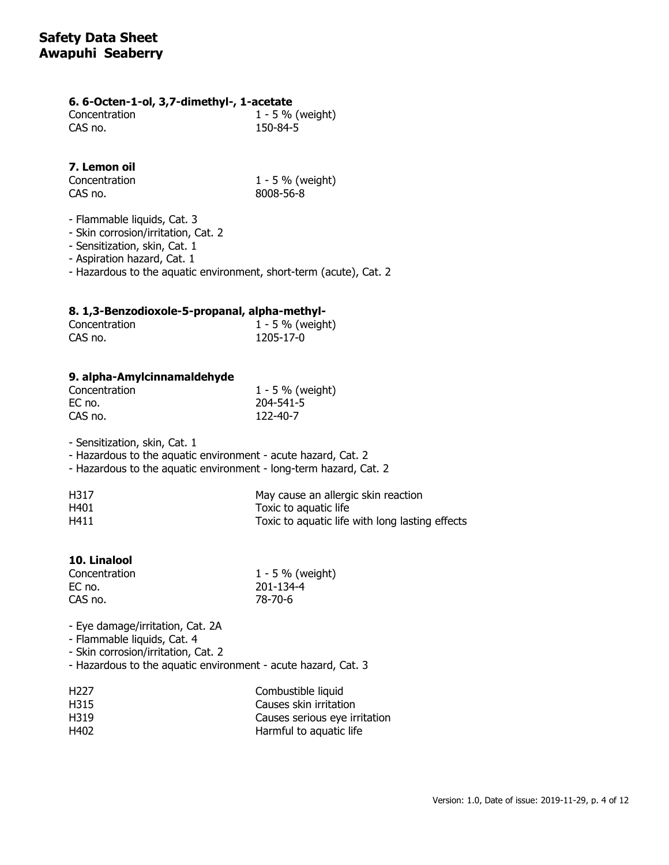#### **6. 6-Octen-1-ol, 3,7-dimethyl-, 1-acetate**

| Concentration | $1 - 5 \%$ (weight) |
|---------------|---------------------|
| CAS no.       | 150-84-5            |

#### **7. Lemon oil**

CAS no. 8008-56-8

Concentration 1 - 5 % (weight)

- Flammable liquids, Cat. 3
- Skin corrosion/irritation, Cat. 2
- Sensitization, skin, Cat. 1
- Aspiration hazard, Cat. 1
- Hazardous to the aquatic environment, short-term (acute), Cat. 2

#### **8. 1,3-Benzodioxole-5-propanal, alpha-methyl-**

| Concentration |  | 1 - 5 % (weight) |
|---------------|--|------------------|
| CAS no.       |  | 1205-17-0        |

#### **9. alpha-Amylcinnamaldehyde**

| Concentration | $1 - 5 \%$ (weight) |
|---------------|---------------------|
| EC no.        | 204-541-5           |
| CAS no.       | 122-40-7            |

- Sensitization, skin, Cat. 1

- Hazardous to the aquatic environment - acute hazard, Cat. 2

- Hazardous to the aquatic environment - long-term hazard, Cat. 2

| H317 | May cause an allergic skin reaction             |
|------|-------------------------------------------------|
| H401 | Toxic to aquatic life                           |
| H411 | Toxic to aquatic life with long lasting effects |

#### **10. Linalool**

| Concentration | 1 - 5 % (weight) |
|---------------|------------------|
| EC no.        | 201-134-4        |
| CAS no.       | 78-70-6          |

- Eye damage/irritation, Cat. 2A

- Flammable liquids, Cat. 4

- Skin corrosion/irritation, Cat. 2

- Hazardous to the aquatic environment - acute hazard, Cat. 3

| H <sub>227</sub> | Combustible liquid            |
|------------------|-------------------------------|
| H315             | Causes skin irritation        |
| H319             | Causes serious eye irritation |
| H402             | Harmful to aquatic life       |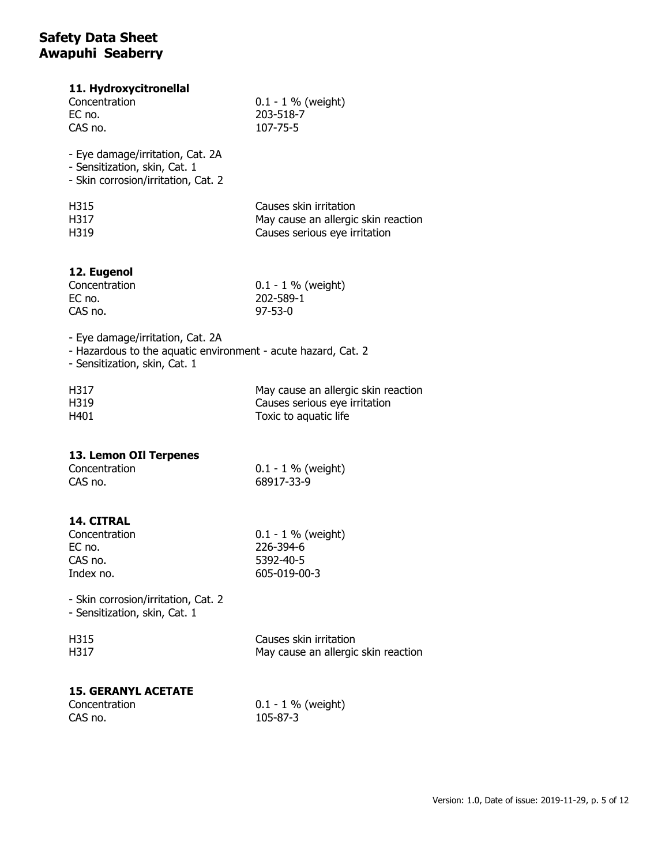#### **11. Hydroxycitronellal**

| Concentration | $0.1 - 1 \%$ (weight) |
|---------------|-----------------------|
| EC no.        | 203-518-7             |
| CAS no.       | 107-75-5              |

- Eye damage/irritation, Cat. 2A

- Sensitization, skin, Cat. 1
- Skin corrosion/irritation, Cat. 2

| H315 | Causes skin irritation              |
|------|-------------------------------------|
| H317 | May cause an allergic skin reaction |
| H319 | Causes serious eye irritation       |

#### **12. Eugenol**

| Concentration | $0.1 - 1 \%$ (weight) |
|---------------|-----------------------|
| EC no.        | 202-589-1             |
| CAS no.       | $97 - 53 - 0$         |

- Eye damage/irritation, Cat. 2A

- Hazardous to the aquatic environment - acute hazard, Cat. 2

- Sensitization, skin, Cat. 1

| H317 | May cause an allergic skin reaction |
|------|-------------------------------------|
| H319 | Causes serious eye irritation       |
| H401 | Toxic to aquatic life               |

# **13. Lemon OIl Terpenes**

CAS no. 68917-33-9

 $0.1 - 1$  % (weight)

### **14. CITRAL**

| Concentration | $0.1 - 1$ % (weight) |
|---------------|----------------------|
| EC no.        | 226-394-6            |
| CAS no.       | 5392-40-5            |
| Index no.     | 605-019-00-3         |
|               |                      |

- Skin corrosion/irritation, Cat. 2 - Sensitization, skin, Cat. 1

| ۰. | э |  |
|----|---|--|
|    | Ξ |  |

Causes skin irritation May cause an allergic skin reaction

## **15. GERANYL ACETATE**

CAS no. 105-87-3

Concentration 0.1 - 1 % (weight)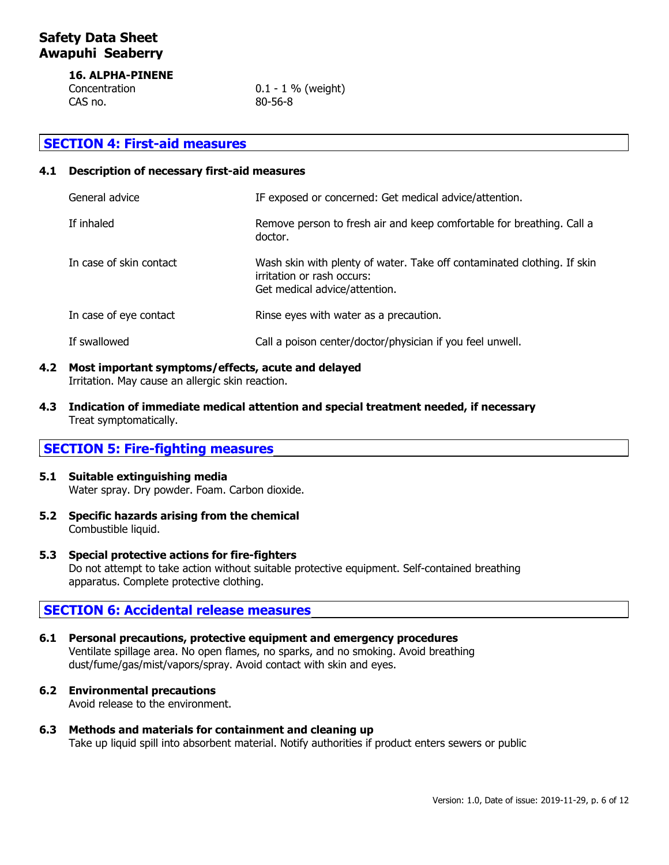#### **16. ALPHA-PINENE** Concentration 0.1 - 1 % (weight)

CAS no. 80-56-8

## **SECTION 4: First-aid measures**

#### **4.1 Description of necessary first-aid measures**

| General advice          | IF exposed or concerned: Get medical advice/attention.                                                                                 |
|-------------------------|----------------------------------------------------------------------------------------------------------------------------------------|
| If inhaled              | Remove person to fresh air and keep comfortable for breathing. Call a<br>doctor.                                                       |
| In case of skin contact | Wash skin with plenty of water. Take off contaminated clothing. If skin<br>irritation or rash occurs:<br>Get medical advice/attention. |
| In case of eye contact  | Rinse eyes with water as a precaution.                                                                                                 |
| If swallowed            | Call a poison center/doctor/physician if you feel unwell.                                                                              |

- **4.2 Most important symptoms/effects, acute and delayed** Irritation. May cause an allergic skin reaction.
- **4.3 Indication of immediate medical attention and special treatment needed, if necessary** Treat symptomatically.

## **SECTION 5: Fire-fighting measures**

#### **5.1 Suitable extinguishing media** Water spray. Dry powder. Foam. Carbon dioxide.

- **5.2 Specific hazards arising from the chemical** Combustible liquid.
- **5.3 Special protective actions for fire-fighters** Do not attempt to take action without suitable protective equipment. Self-contained breathing apparatus. Complete protective clothing.

#### **SECTION 6: Accidental release measures**

- **6.1 Personal precautions, protective equipment and emergency procedures** Ventilate spillage area. No open flames, no sparks, and no smoking. Avoid breathing dust/fume/gas/mist/vapors/spray. Avoid contact with skin and eyes.
- **6.2 Environmental precautions**

Avoid release to the environment.

#### **6.3 Methods and materials for containment and cleaning up** Take up liquid spill into absorbent material. Notify authorities if product enters sewers or public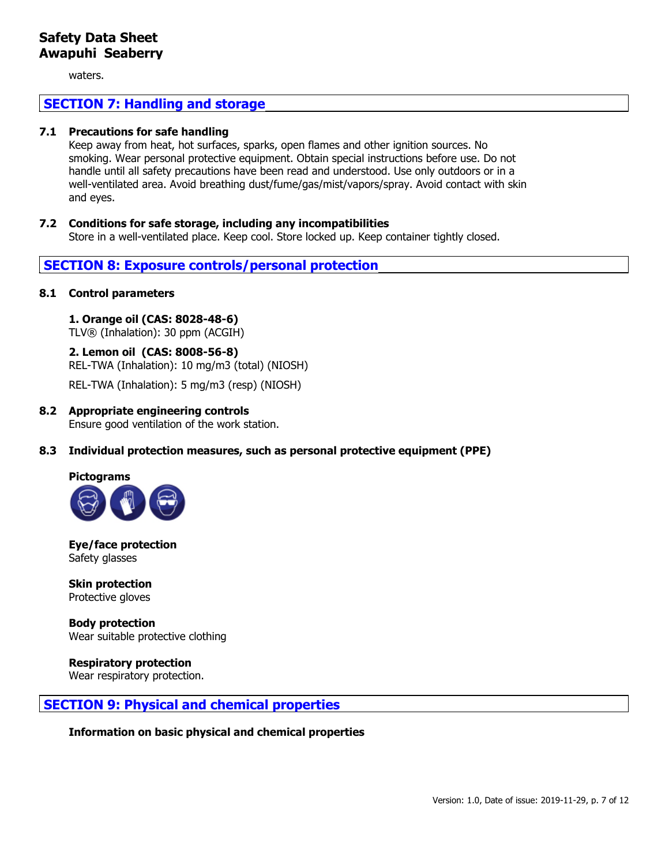waters.

## **SECTION 7: Handling and storage**

#### **7.1 Precautions for safe handling**

Keep away from heat, hot surfaces, sparks, open flames and other ignition sources. No smoking. Wear personal protective equipment. Obtain special instructions before use. Do not handle until all safety precautions have been read and understood. Use only outdoors or in a well-ventilated area. Avoid breathing dust/fume/gas/mist/vapors/spray. Avoid contact with skin and eyes.

#### **7.2 Conditions for safe storage, including any incompatibilities**

Store in a well-ventilated place. Keep cool. Store locked up. Keep container tightly closed.

#### **SECTION 8: Exposure controls/personal protection**

#### **8.1 Control parameters**

**1. Orange oil (CAS: 8028-48-6)** TLV® (Inhalation): 30 ppm (ACGIH)

**2. Lemon oil (CAS: 8008-56-8)** REL-TWA (Inhalation): 10 mg/m3 (total) (NIOSH)

REL-TWA (Inhalation): 5 mg/m3 (resp) (NIOSH)

#### **8.2 Appropriate engineering controls**

Ensure good ventilation of the work station.

#### **8.3 Individual protection measures, such as personal protective equipment (PPE)**



**Eye/face protection** Safety glasses

**Skin protection** Protective gloves

**Body protection** Wear suitable protective clothing

**Respiratory protection** Wear respiratory protection.

### **SECTION 9: Physical and chemical properties**

#### **Information on basic physical and chemical properties**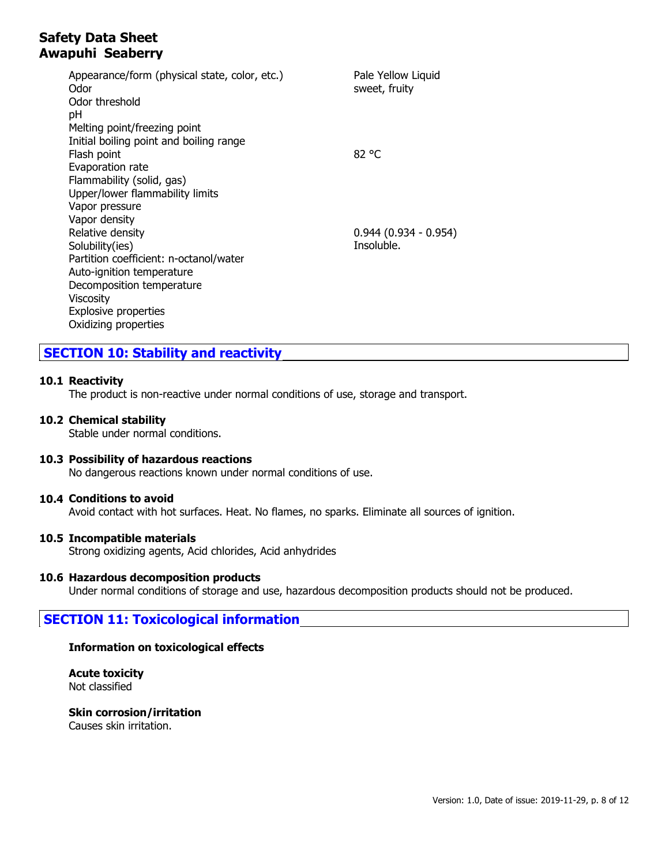Appearance/form (physical state, color, etc.) Pale Yellow Liquid Odor sweet, fruity Odor threshold pH Melting point/freezing point Initial boiling point and boiling range Flash point 82 °C Evaporation rate Flammability (solid, gas) Upper/lower flammability limits Vapor pressure Vapor density Relative density 0.944 (0.934 - 0.954) Solubility(ies) and the soluble of the soluble. Partition coefficient: n-octanol/water Auto-ignition temperature Decomposition temperature Viscosity Explosive properties Oxidizing properties

## **SECTION 10: Stability and reactivity**

#### **10.1 Reactivity**

The product is non-reactive under normal conditions of use, storage and transport.

#### **10.2 Chemical stability**

Stable under normal conditions.

## **10.3 Possibility of hazardous reactions**

No dangerous reactions known under normal conditions of use.

#### **10.4 Conditions to avoid**

Avoid contact with hot surfaces. Heat. No flames, no sparks. Eliminate all sources of ignition.

#### **10.5 Incompatible materials**

Strong oxidizing agents, Acid chlorides, Acid anhydrides

#### **10.6 Hazardous decomposition products**

Under normal conditions of storage and use, hazardous decomposition products should not be produced.

### **SECTION 11: Toxicological information**

#### **Information on toxicological effects**

**Acute toxicity** Not classified

**Skin corrosion/irritation** Causes skin irritation.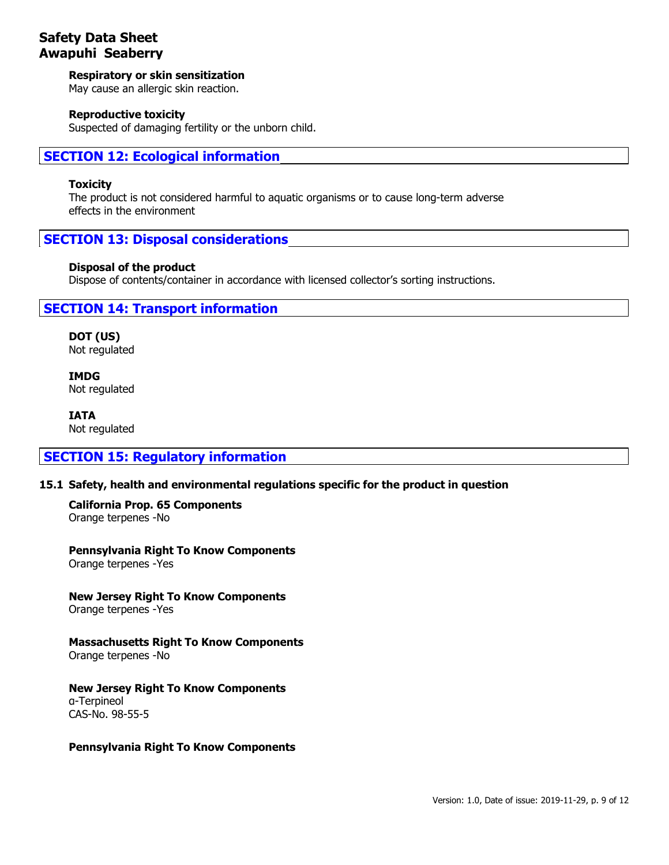#### **Respiratory or skin sensitization**

May cause an allergic skin reaction.

#### **Reproductive toxicity**

Suspected of damaging fertility or the unborn child.

## **SECTION 12: Ecological information**

#### **Toxicity**

The product is not considered harmful to aquatic organisms or to cause long-term adverse effects in the environment

### **SECTION 13: Disposal considerations**

#### **Disposal of the product**

Dispose of contents/container in accordance with licensed collector's sorting instructions.

#### **SECTION 14: Transport information**

**DOT (US)** Not regulated

**IMDG** Not regulated

**IATA** Not regulated

## **SECTION 15: Regulatory information**

#### **15.1 Safety, health and environmental regulations specific for the product in question**

#### **California Prop. 65 Components** Orange terpenes -No

### **Pennsylvania Right To Know Components**

Orange terpenes -Yes

## **New Jersey Right To Know Components**

Orange terpenes -Yes

**Massachusetts Right To Know Components** Orange terpenes -No

**New Jersey Right To Know Components** α-Terpineol CAS-No. 98-55-5

#### **Pennsylvania Right To Know Components**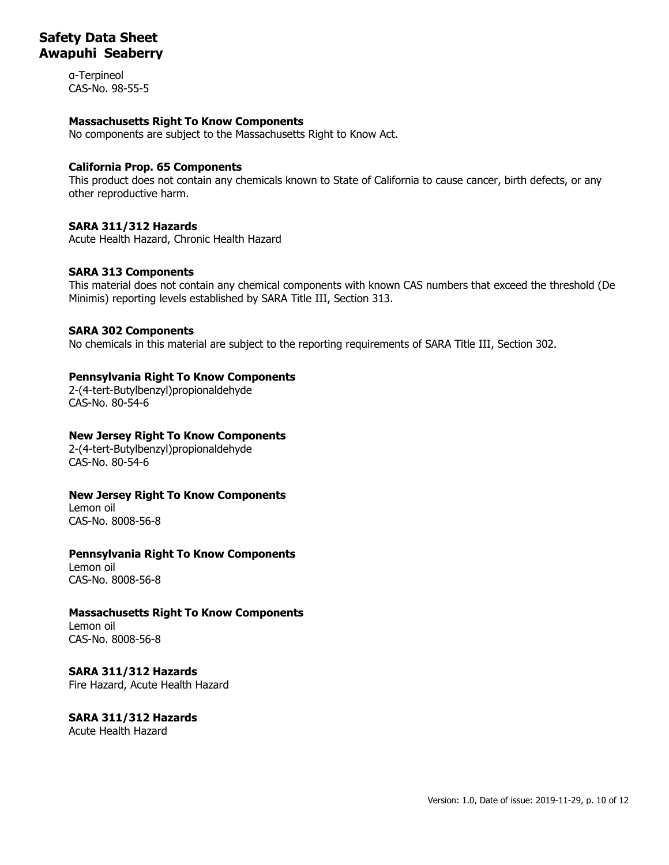α-Terpineol CAS-No. 98-55-5

#### **Massachusetts Right To Know Components**

No components are subject to the Massachusetts Right to Know Act.

#### **California Prop. 65 Components**

This product does not contain any chemicals known to State of California to cause cancer, birth defects, or any other reproductive harm.

#### **SARA 311/312 Hazards**

Acute Health Hazard, Chronic Health Hazard

#### **SARA 313 Components**

This material does not contain any chemical components with known CAS numbers that exceed the threshold (De Minimis) reporting levels established by SARA Title III, Section 313.

#### **SARA 302 Components**

No chemicals in this material are subject to the reporting requirements of SARA Title III, Section 302.

#### **Pennsylvania Right To Know Components**

2-(4-tert-Butylbenzyl)propionaldehyde CAS-No. 80-54-6

#### **New Jersey Right To Know Components**

2-(4-tert-Butylbenzyl)propionaldehyde CAS-No. 80-54-6

#### **New Jersey Right To Know Components**

Lemon oil CAS-No. 8008-56-8

#### **Pennsylvania Right To Know Components**

Lemon oil CAS-No. 8008-56-8

#### **Massachusetts Right To Know Components**

Lemon oil CAS-No. 8008-56-8

#### **SARA 311/312 Hazards**

Fire Hazard, Acute Health Hazard

### **SARA 311/312 Hazards**

Acute Health Hazard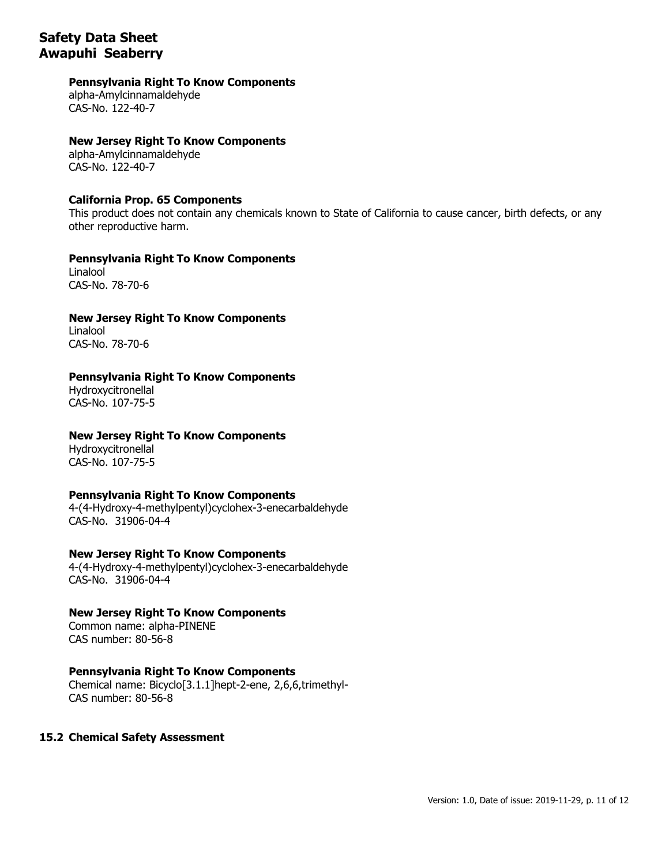#### **Pennsylvania Right To Know Components**

alpha-Amylcinnamaldehyde CAS-No. 122-40-7

#### **New Jersey Right To Know Components**

alpha-Amylcinnamaldehyde CAS-No. 122-40-7

#### **California Prop. 65 Components**

This product does not contain any chemicals known to State of California to cause cancer, birth defects, or any other reproductive harm.

#### **Pennsylvania Right To Know Components**

Linalool CAS-No. 78-70-6

#### **New Jersey Right To Know Components**

Linalool CAS-No. 78-70-6

#### **Pennsylvania Right To Know Components**

Hydroxycitronellal CAS-No. 107-75-5

#### **New Jersey Right To Know Components**

Hydroxycitronellal CAS-No. 107-75-5

#### **Pennsylvania Right To Know Components**

4-(4-Hydroxy-4-methylpentyl)cyclohex-3-enecarbaldehyde CAS-No. 31906-04-4

#### **New Jersey Right To Know Components**

4-(4-Hydroxy-4-methylpentyl)cyclohex-3-enecarbaldehyde CAS-No. 31906-04-4

#### **New Jersey Right To Know Components**

Common name: alpha-PINENE CAS number: 80-56-8

#### **Pennsylvania Right To Know Components**

Chemical name: Bicyclo[3.1.1]hept-2-ene, 2,6,6,trimethyl-CAS number: 80-56-8

#### **15.2 Chemical Safety Assessment**